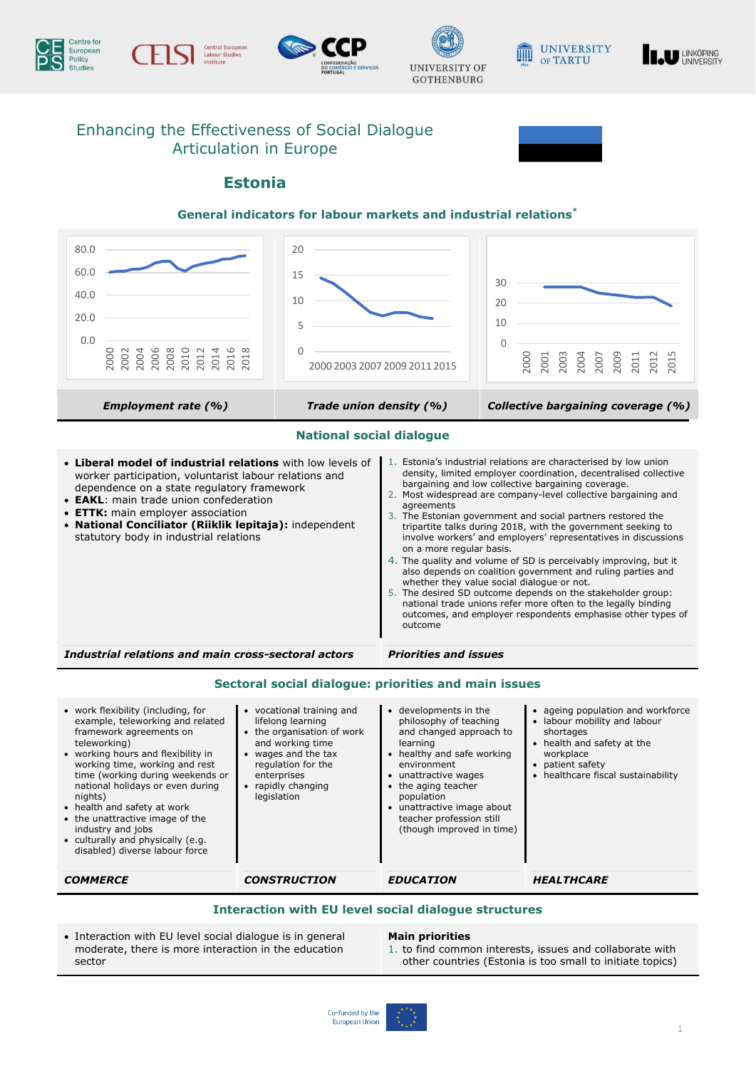











# Enhancing the Effectiveness of Social Dialogue Articulation in Europe

# **Estonia**

### **General indicators for labour markets and industrial relations\***

| 80.0<br>60.0<br>40.0<br>20.0<br>0.0                                                                                                                                                                                                                                                                                                                          | 20<br>15<br>10<br>5                                                                                                                                                                |                                                                                                                                                                                                                                                                                                                                                                                                                                                                                                                                                                                                                                                                                                                                                                                                                                                                                                    | 30<br>20<br>10<br>$\Omega$                                                                                                                                                          |
|--------------------------------------------------------------------------------------------------------------------------------------------------------------------------------------------------------------------------------------------------------------------------------------------------------------------------------------------------------------|------------------------------------------------------------------------------------------------------------------------------------------------------------------------------------|----------------------------------------------------------------------------------------------------------------------------------------------------------------------------------------------------------------------------------------------------------------------------------------------------------------------------------------------------------------------------------------------------------------------------------------------------------------------------------------------------------------------------------------------------------------------------------------------------------------------------------------------------------------------------------------------------------------------------------------------------------------------------------------------------------------------------------------------------------------------------------------------------|-------------------------------------------------------------------------------------------------------------------------------------------------------------------------------------|
| 2000<br>2006<br>2008<br>2002<br>2010<br>018<br>2004<br>2012<br>201<br>2016                                                                                                                                                                                                                                                                                   | $\Omega$                                                                                                                                                                           | 2000 2003 2007 2009 2011 2015                                                                                                                                                                                                                                                                                                                                                                                                                                                                                                                                                                                                                                                                                                                                                                                                                                                                      | 2000<br>2003<br>2009<br>2004<br>2001<br>2007<br>2011<br>201<br>201                                                                                                                  |
| <b>Employment rate (%)</b>                                                                                                                                                                                                                                                                                                                                   | Trade union density (%)                                                                                                                                                            |                                                                                                                                                                                                                                                                                                                                                                                                                                                                                                                                                                                                                                                                                                                                                                                                                                                                                                    | Collective bargaining coverage (%)                                                                                                                                                  |
| <b>National social dialogue</b>                                                                                                                                                                                                                                                                                                                              |                                                                                                                                                                                    |                                                                                                                                                                                                                                                                                                                                                                                                                                                                                                                                                                                                                                                                                                                                                                                                                                                                                                    |                                                                                                                                                                                     |
| • Liberal model of industrial relations with low levels of<br>worker participation, voluntarist labour relations and<br>dependence on a state regulatory framework<br>• <b>EAKL:</b> main trade union confederation<br>• ETTK: main employer association<br>• National Conciliator (Riiklik lepitaja): independent<br>statutory body in industrial relations |                                                                                                                                                                                    | 1. Estonia's industrial relations are characterised by low union<br>density, limited employer coordination, decentralised collective<br>bargaining and low collective bargaining coverage.<br>2. Most widespread are company-level collective bargaining and<br>agreements<br>3. The Estonian government and social partners restored the<br>tripartite talks during 2018, with the government seeking to<br>involve workers' and employers' representatives in discussions<br>on a more regular basis.<br>4. The quality and volume of SD is perceivably improving, but it<br>also depends on coalition government and ruling parties and<br>whether they value social dialogue or not.<br>5. The desired SD outcome depends on the stakeholder group:<br>national trade unions refer more often to the legally binding<br>outcomes, and employer respondents emphasise other types of<br>outcome |                                                                                                                                                                                     |
| Industrial relations and main cross-sectoral actors                                                                                                                                                                                                                                                                                                          |                                                                                                                                                                                    | <b>Priorities and issues</b>                                                                                                                                                                                                                                                                                                                                                                                                                                                                                                                                                                                                                                                                                                                                                                                                                                                                       |                                                                                                                                                                                     |
| Sectoral social dialogue: priorities and main issues                                                                                                                                                                                                                                                                                                         |                                                                                                                                                                                    |                                                                                                                                                                                                                                                                                                                                                                                                                                                                                                                                                                                                                                                                                                                                                                                                                                                                                                    |                                                                                                                                                                                     |
| • work flexibility (including, for<br>example, teleworking and related<br>framework agreements on<br>teleworking)<br>• working hours and flexibility in<br>working time, working and rest<br>time (working during weekends or<br>national holidays or even during                                                                                            | • vocational training and<br>lifelong learning<br>• the organisation of work<br>and working time<br>• wages and the tax<br>regulation for the<br>enterprises<br>• rapidly changing | • developments in the<br>philosophy of teaching<br>and changed approach to<br>learning<br>• healthy and safe working<br>environment<br>• unattractive wages<br>• the aging teacher                                                                                                                                                                                                                                                                                                                                                                                                                                                                                                                                                                                                                                                                                                                 | • ageing population and workforce<br>• labour mobility and labour<br>shortages<br>• health and safety at the<br>workplace<br>• patient safety<br>• healthcare fiscal sustainability |

- nights)
- health and safety at work • the unattractive image of the
- industry and jobs culturally and physically (e.g.
- disabled) diverse labour force
- *COMMERCE CONSTRUCTION EDUCATION HEALTHCARE*

legislation

population

 unattractive image about teacher profession still (though improved in time)

### **Interaction with EU level social dialogue structures**

• Interaction with EU level social dialogue is in general moderate, there is more interaction in the education sector

#### **Main priorities**

1. to find common interests, issues and collaborate with other countries (Estonia is too small to initiate topics)